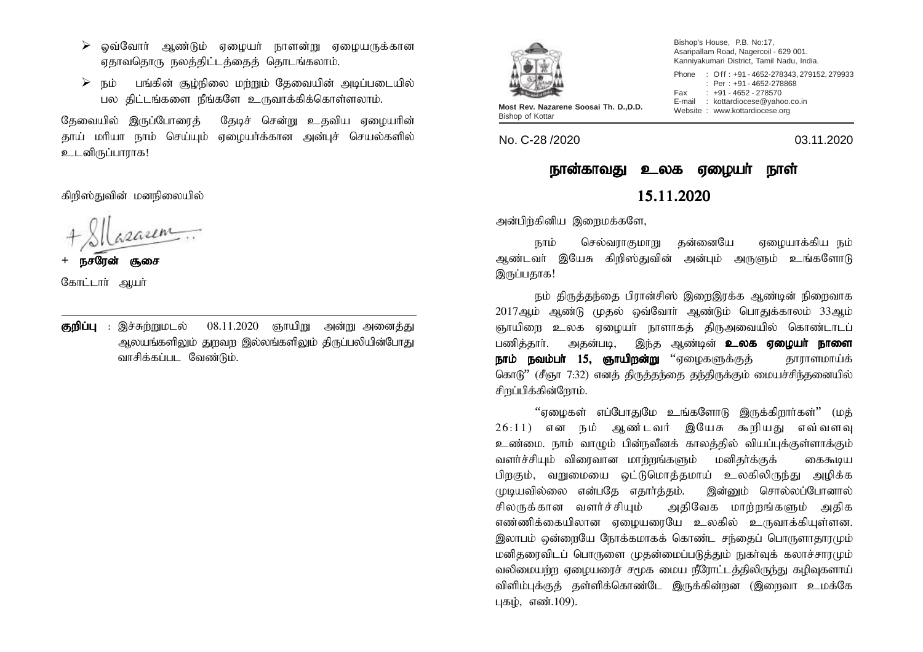- $\geq$  ஒவ்வோர் ஆண்டும் ஏழையர் நாளன்று ஏழையருக்கான ஏதாவதொரு நலத்திட்டத்தைத் தொடங்கலாம்.
- $\triangleright$  நம் பங்கின் சூழ்நிலை மற்றும் கேவையின் அடிப்படையில் பல கிட்டங்களை நீங்களே உருவாக்கிக்கொள்ளலாம்.

தேவையில் இருப்போரைத் தேடிச் சென்று உதவிய ஏழையரின் தாய் மரியா நாம் செய்யும் ஏழையர்க்கான அன்புச் செயல்களில் உடனிருப்பாராக!

கிறிஸ்துவின் மனநிலையில்

<u>சூசை</u>

- கோட்டார் ஆயர்
- குறிப்பு : இச்சுற்றுமடல்  $08.11.2020$  ஞாயிறு அன்று அனைத்து அலயங்களிலும் துறவற இல்லங்களிலும் திருப்பலியின்போது வாசிக்கப்பட வேண்டும்.



Bishop's House, P.B. No:17, Asaripallam Road, Nagercoil - 629 001. Kanniyakumari District, Tamil Nadu, India. Phone : Off : +91 - 4652-278343, 279152, 279933

: Per : +91 - 4652-278868

Fax : +91 - 4652 - 278570 E-mail : kottardiocese@yahoo.co.in Most Rev. Nazarene Soosai Th. D., D.D.<br>Bishop of Kottar<br>**Most Rev. Nazarene Soosai Th. D., D.D.** Website : www.kottardiocese.org

No. C-28 /2020 03.11.2020

## நான்காவது உலக ஏழையா் நாள் 15.11.2020

அன்பிர்கினிய இறைமக்களே,

நாம் செல்வராகுமாறு தன்னையே ஏமையாக்கிய நம் அண்டவர் இயேசு கிறிஸ்துவின் அன்பும் அருளும் உங்களோடு இருப்பதாக!

நம் திருத்தந்தை பிரான்சிஸ் இறைஇரக்க ஆண்டின் நிறைவாக 2017ஆம் ஆண்டு முதல் ஒவ்வோர் ஆண்டும் பொதுக்காலம் 33ஆம் ஞாயிளை உலக ஏமையா் நாளாகக் கிருஅவையில் கொண்டாடப் பணித்தார். அதன்படி, இந்த ஆண்டின் **உலக ஏழையர் நாளை** <mark>நாம் நவம்பர் 15, ஞாயிறன்று</mark> ''ஏழைகளுக்குத் காராளமாய்க் கொடு" (சீஞா 7:32) எனத் திருத்தந்தை தந்திருக்கும் மையச்சிந்தனையில் சிறப்பிக்கின்றோம்.

"ஏழைகள் எப்போதுமே உங்களோடு இருக்கிறார்கள்" (மத்  $26:11$ ) என நம் ஆண்டவர் இயேசு கூறியது எவ்வளவு உண்மை. நாம் வாழும் பின்நவீனக் காலத்தில் வியப்புக்குள்ளாக்கும் வளர்ச்சியும் விரைவான மாற்றங்களும் மனிதர்க்குக் கைகூடிய பிறகும், வறுமையை ஒட்டுமொத்தமாய் உலகிலிருந்து அமிக்க முடியவில்லை என்பதே எதார்த்தம். இன்னும் சொல்லப்போனால் சிலருக்கான வளர்ச்சியும் அதிவேக மாற்றங்களும் அதிக எண்ணிக்கையிலான ஏழையரையே உலகில் உருவாக்கியுள்ளன. இலாபம் ஒன்றையே நோக்கமாகக் கொண்ட சந்தைப் பொருளாதாரமும் மனிதரைவிடப் பொருளை முதன்மைப்படுத்தும் நுகர்வுக் கலாச்சாரமும் வலிமையற்ற ஏழையரைச் சமூக மைய நீரோட்டத்திலிருந்து கழிவுகளாய் விளிம்புக்குத் தள்ளிக்கொண்டே இருக்கின்றன (இறைவா உமக்கே புகழ், எண். $109$ ).